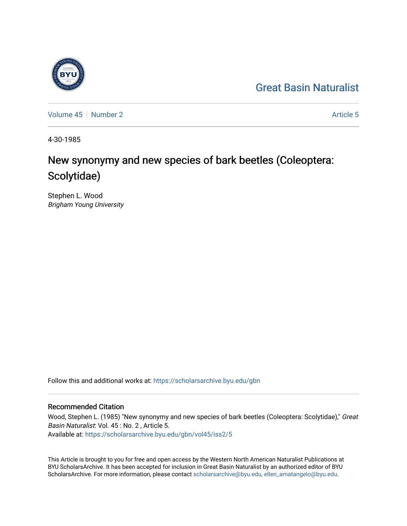## [Great Basin Naturalist](https://scholarsarchive.byu.edu/gbn)

[Volume 45](https://scholarsarchive.byu.edu/gbn/vol45) | [Number 2](https://scholarsarchive.byu.edu/gbn/vol45/iss2) Article 5

4-30-1985

# New synonymy and new species of bark beetles (Coleoptera: Scolytidae)

Stephen L. Wood Brigham Young University

Follow this and additional works at: [https://scholarsarchive.byu.edu/gbn](https://scholarsarchive.byu.edu/gbn?utm_source=scholarsarchive.byu.edu%2Fgbn%2Fvol45%2Fiss2%2F5&utm_medium=PDF&utm_campaign=PDFCoverPages) 

### Recommended Citation

Wood, Stephen L. (1985) "New synonymy and new species of bark beetles (Coleoptera: Scolytidae)," Great Basin Naturalist: Vol. 45 : No. 2 , Article 5. Available at: [https://scholarsarchive.byu.edu/gbn/vol45/iss2/5](https://scholarsarchive.byu.edu/gbn/vol45/iss2/5?utm_source=scholarsarchive.byu.edu%2Fgbn%2Fvol45%2Fiss2%2F5&utm_medium=PDF&utm_campaign=PDFCoverPages)

This Article is brought to you for free and open access by the Western North American Naturalist Publications at BYU ScholarsArchive. It has been accepted for inclusion in Great Basin Naturalist by an authorized editor of BYU ScholarsArchive. For more information, please contact [scholarsarchive@byu.edu, ellen\\_amatangelo@byu.edu.](mailto:scholarsarchive@byu.edu,%20ellen_amatangelo@byu.edu)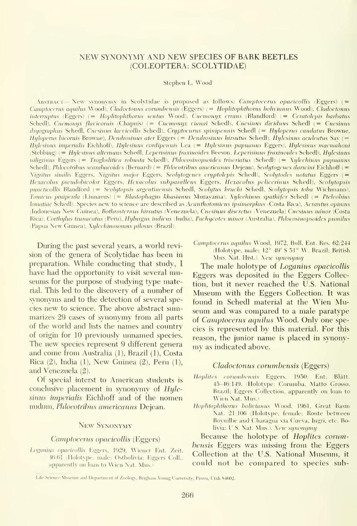#### NEW SYNONYMY AND NEW SPECIES OF BARK BEETLES (COLEOPTERA: SCOLYTIDAE)

Stephen L. Wood'

Abstract.— New synonymy in Scolytidae is proposed as follows: *Camptocerus opacicollis* (Eggers) (= Camptocerus aquilus Wood), Cladoctonus corumbensis (Eggers) (= Hoplitophthorus bolivianus Wood), Cladoctonus interruptus (Eggers) (= Hoplitophthorus sentus Wood), Cnemonyx errans (Blandford) (= Ceratolepis barbatus Schedl), Cnemonyx flavicornis (Chapuis) (= Cnemonyx vianai Schedl), Cnesinus dividuus Schedl (= Cnesinus dryographus Schedl, Cnesinus laevicollis Schedl), Cryptocurus spinipennis Schedl (= Hyloperus caudatus Browne, Hyloperus bicornis Browne), Dendrosinus ater Eggers (= Dendrosinus hirsutus Schedl), Hylesinus aculeatus Sav (= Ihjlesinus imperialis Eichhoff), Hylesinus cordipennis Lea (= Hylesinus papuanus Eggers), Hylesinus macmahoni (Stebbing) (= Hylesinus alternans Schedl, Leperisinus fraxinoides Beeson, Leperisinus fraxinoides Schedl), Hylesinus niligrinus Eggers (= Trogloditica robusta Schedl), Phloeosinopsoides triseriatus (Schedl) (= Xyleehinus papuanus Schedl), Phloeotribus scarabaeoides (Bernard) (= Phloeotribus americanus Dejean), Scolytogenes daricini Eichhoff (= \igritus simdis Eggers, Nigritus major Eggers, Seolytogenes cryptolepis Schedl), Scolytodes notatus Eggers ( Hexacohis pseiidobicolor Eggers, Hexaeohis subparaUeus Eggers, Hexacohis pelicerinus Schedl), Scolytopsis puncticollis Blandford (= Scolytopsis argentinensis Schedl, Scolytus bruchi Schedl, Scolytopsis toba Wichmann), Tomicus piniperda (Linnaeus) (= Blastophagus khasianus Murayama), Xylechinus spathifer Schedl (= Pteleobius lomatiae Schedl). Species new to science are described as Acanthotomicus ipsimorphus (Costa Rica), Acrantus opimus (Indonesian New Guinea), Bothrosternus hirsutus (Venezuela), Cnesinus diseretus (Venezuela) Cnesinus minor (Costa Rica), Corthylus trunacatus (Peru), Hylurgus indicus (India), Pachyeotes minor (Australia), Phloeosinopsoides pumilus (Papua New Guinea), Xylechinosomus pilosus (Brazil).

During the past several years, a world revi sion of the genera of Scolytidae has been in preparation. While conducting that study, <sup>I</sup> have had the opportunity to visit several museums for the purpose of studying type material. This led to the discovery of a number of synonyms and to the detection of several species new to science. The above abstract summarizes 29 cases of synonymy from all parts of the world and lists the names and country of origin for 10 previously unnamed species. The new species represent 9 different genera and come from Australia (1), Brazil (1), Costa Rica (2), India (1), New Guinea (2), Peru (1), and Venezuela (2).

Of special interst to American students is conclusive placement in synonymy of Hylesinus imperialis Eichhoff and of the nomen nudum, Phloeotribus americanus Dejean.

### New Synonymy

#### Camptocerus opacicollis (Eggers)

Loganius opacieollis Eggers, 1929, Wiener Ent. Zeit. 46:61 (Holotype, male; Ostbolivia; Eggers Coll.. apparently on loan to Wien Nat. Mus.)

Camptocerus aquilus Wood, 1972, Bull. Ent. Res. 62:244 (Holotype, male; 12° 49' <sup>S</sup> 51° W, Brazil; British Mus. Nat. Hist.). New synonymy

The male holotype of Loganius opacicollis Eggers was deposited in the Eggers Collection, but it never reached the U.S. National Museum with the Eggers Collection. It was found in Schedl material at the Wien Museum and was compared to a male paratype of Camptocerus aquilus Wood. Only one species is represented by this material. For this reason, the junior name is placed in synony my as indicated above.

#### Cladoctonus corumbensis (Eggers)

- Hoplitcs eorumbensis Eggers, 1950. Ent. Blatt. 45-46:149. (Holotype: Corumba, Matto Grosso, Brazil; Eggers Collection, apparently on loan to Wien Nat Mus.)
- Hoplitophthorus boliviunus Wood, 1961. Great Basin Nat. 21:106 (Holotype, female; Route between Boyuilbe and Charagua via Cueva, Ingri, etc. Bolivia; U.S. Nat. Mus.). New synonymy

Because the holotype of Hoplites corumbensis Eggers was missing from the Eggers Collection at the U.S. National Museum, it could not be compared to species sub-

Life Science Museum and Department of Zoology, Brigham Young University, Provo, Utah 84602.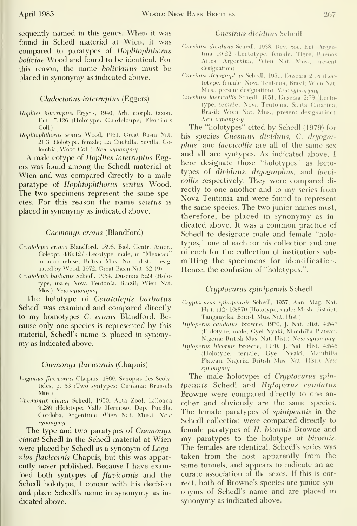sequently named in this genus. When it was found in Schedl material at Wien, it was compared to paratypes of Hoplitophthorus boliviae Wood and found to be identical. For this reason, the name bolivianus must be placed in synonymy as indicated above.

#### Cladoctonus interruptus (Eggers)

- Hoplites interruptus Eggers, 1940, Arb. morph. taxon. Ent. 7:126 (Holotvpc; Guadeloupe; Fleutiaux Coll.)
- Hoplitophthorus sentus Wood, 1961, Great Basin Nat. 21:3 (Holotype, female; La Cuchilla, Sevilla, Colombia; Wood Coll.). Netc synonymy

A male cotype of Hoplites interruptus Eggers was found among the Schedl material at Wien and was compared directly to a male paratype of Hoplitophthorus sentus Wood. The two specimens represent the same species. For this reason the name sentus is placed in synonymy as indicated above.

#### Cnemonijx errans (Blandford)

- Ceratolepis errans Blandford, 1896, Biol. Centr. Amer., Coleopt. 4(6): 127 (Lecotype, male; in 'Mexican" tobacco refuse; British Mus. Nat. Hist., desig nated by Wood, 1972, Great Basin Nat. 32:19)
- Cemtolepis barhatus Schedl. 1954, Dusemia 5:24 (Holotype, male; Nova Teutonia, Brazil; Wien Nat. Mus.). New synonymy

The holotype of Ceratolepis barbatus Schedl was examined and compared directly to my homotypes C. errans Blandford. Because only one species is represented by this material, Schedl's name is placed in synony my as indicated above.

#### Cnemonyx flavicornis (Chapuis)

- Loganius flavicornis Chapuis, 1869, Synopsis des Scolytides, p. 53 (Two svntvpes; Cumana; Brussels Mus.)
- Cnemonyx vianai Schedl, 1950, Acta Zool. Lilloana 9:289 (Holotype; Valle Hermoso, Dep. Punilla, Cordoba, Argentina; Wien Nat. Mus.). New synonymy

The type and two paratypes of Cnemonyx vianai Schedl in the Schedl material at Wien were placed by Schedl as a synonym of Loganius flavicornis Chapuis, but this was apparently never published. Because <sup>I</sup> have examined both syntypes of flavicornis and the Schedl holotype, <sup>I</sup> concur with his decision and place Schedl's name in synonymy as in dicated above.

#### Cnesinus dividuus Schedl

- Cnesinus dividuus Schedl, 1938, Rev. Soc. Ent. Argentina 10:22 (Lectotype, female; Tigre, Buenos Aires, Argentina; Wien Nat. Mus., present designation)
- Cnesinus dryographus Schedl, 1951, Dusenia 2:78 (Lectotype, female; Nova Teutonia, Brasil; Wien Nat. Mus., present designation). New synonymy
- Cnesinus laevieollis Schedl, 1951, Dusenia 2:79 (Lecto type, female; Nova Teutonia, Santa C^atarina, Brasil; Wien Nat. Mus., present designation). New synonymy

The "holotypes" cited by Schedl (1979) for his species Cnesinus dividuus, C. dryogra phus, and *laevicollis* are all of the same sex and all are syntypes. As indicated above, <sup>I</sup>here designate those "holotypes" as lecto types of dividuus, dryographus, and laevieollis respectively. They were compared di rectly to one another and to my series from Nova Teutonia and were found to represent the same species. The two junior names must, therefore, be placed in synonymy as in dicated above. It was a common practice of Schedl to designate male and female "holotypes," one of each for his collection and one of each for the collection of institutions sub mitting the specimens for identification. Hence, the confusion of "holotypes.".

#### Cryptocurus spinipennis Schedl

- Cryptocurus spinipennis Schedl, 1957, Ann. Mag. Nat. Hist. (12) 10:870 (Holotype, male; Moshi district, Tanganyika; British Mus. Nat. Hist.)
- Hyloperus caudatus Browne, 1970, J. Nat. Hist. 4:547 (Holotype, male; Gyel Nyaki, Mambilla Plateau, Nigeria; British Mus. Nat. Hist.). New synonymy
- Hyloperus bieornis Browne, 1970, J. Nat. Hist. 4:546 (Holotype, female; Gyel Nyaki, Mambilla Plateau, Nigeria, British Mus. Nat. Hist.). New synonymy

The male holotypes of Cryptocurus spin ipennis Schedl and Hyloperus caudatus Browne were compared directly to one an other and obviously are the same species. The female paratypes of spinipennis in the Schedl collection were compared directly to female paratypes of H. bieornis Browne and my paratypes to the holotype of *bicornis*. The females are identical. Schedl's series was taken from the host, apparently from the same tunnels, and appears to indicate an ac curate association of the sexes. If this is correct, both of Browne's species are junior syn onyms of Schedl's name and are placed in synonymy as indicated above.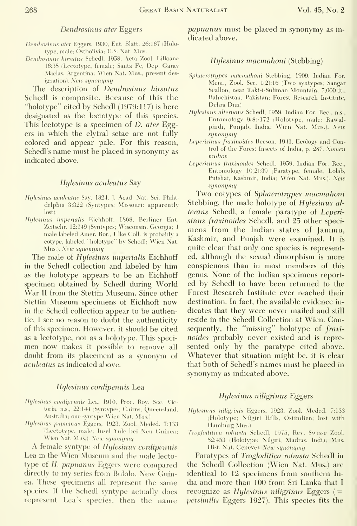#### Dendrosinus ater Eggers

- Dendrosinus ater Eggers, 1930, Ent. Blätt. 26:167 (Holotype, male; Ostbolivia; U.S. Nat. Mus.
- Dendrosinus hirsutus Schedl, 1958, Acta Zool. Lilloana 16:38 (Lectotype, female; Santa Fe, Dep. Garay Maclas, Argentina; Wien Nat. Mus., present designation). New synonymy

The description of Dendrosinus hirsutus Schedl is composite. Because of this the "holotype" cited by Schedl (1979:117) is here designated as the lectotype of this species. This lectotype is a specimen of D. ater Eggers in which the elytral setae are not fully colored and appear pale. For this reason, Schedl's name must be placed in synonymy as indicated above.

#### Hylesinus aculeatus Say

- Hylesinus aculeatus Sav, 1824, J. Acad. Nat. Sci. Philadelphia 3:322 (Syntypes; Missouri; apparently lost).
- Hylesinus imperialis Eichhoff, 1868, Berliner Ent. Zeitschr. 12:149 (Syntypes; Wisconsin, Georgia; <sup>1</sup> male labeled Anier. Bor., Ulke Coll. is probably a cotype, labeled "holotype" by Schedl; Wien Nat. Mus.). New synonymy

The male of *Hylesinus imperialis* Eichhoff in the Schedl collection and labeled by him as the holotype appears to be an Eichhoff specimen obtained by Schedl during World War II from the Stettin Museum. Since other Stettin Museum specimens of Eichhoff now in the Schedl collection appear to be authentic, I see no reason to doubt the authenticity of this specimen. However, it should be cited as a lectotype, not as a holotype. This specimen now makes it possible to remove all doubt from its placement as a synonym of aculeatus as indicated above.

#### Hijlesinus cordipennis Lea

- Hylesinus cordipennis Lea, 1910, Proc. Rov. Soc. Victoria, n.s., 22:144 (Syntypes; Cairns, Queensland, Australia; one syntype Wien Nat. Mus.)
- Hylesinus papuanus Eggers, 1923, Zool. Meded. 7:133 (Lectotype, male; Insel Yule bei Neu Guinea; Wien Nat. Mus.). New synonymy

A female syntype of Hylesinus cordipennis Lea in the Wien Museum and the male lectotype of H. papuanus Eggers were compared directly to my series from Bulolo, New Guinea. These specimens all represent the same species. If the Schedl syntype actually does represent Lea's species, then the name papuanus must be placed in synonymy as in dicated above.

#### Hylesinus macmahoni (Stebbing)

- Sphacrotrypes macmahoni Stebbing, 1909, Indian For. Mem., Zool. Ser. 1(2): 16 (Two syntvpes; Sangar Scallon, near Takt-i-Suliman Mountain, 7,000 ft., Baluchistan, Pakistan; Forest Research Institute. Dehra Dim)
- Hylesinus alternans Schedl, 1959, Indian For. Rec, n.s.. Entomology 9(8): 172 (Holotype, male; Rawalpindi, Punjab, India; Wien Nat. Mus.). New synonymy
- Leperisinus fraxinoides Beeson, 1941, Ecology and Control of the Forest Insects of India, p. 287. Nomen nudum
- Leperisinus fraxinoides Schedl, 1959, Indian For. Rec., Entomology 10(2):39 (Paratype, female; Lolab, Putshai, Kashmir, India; Wien Nat. Mus.). New synonymt/

Two cotypes of Sphaerotrypes macmahoni Stebbing, the male holotype of Hylesinus al terans Schedl, a female paratype of Leperi sinus fraxinoides Schedl, and 25 other speci mens from the Indian states of Jammu, Kashmir, and Punjab were examined. It is quite clear that only one species is represented, although the sexual dimorphism is more conspicuous than in most members of this genus. None of the Indian specimens report ed by Schedl to have been returned to the Forest Research Institute ever reached their destination. In fact, the available evidence in dicates that they were never mailed and still reside in the Schedl Collection at Wien. Con sequently, the "missing" holotype of fraxinoides probably never existed and is repre sented only by the paratype cited above. Whatever that situation might be, it is clear that both of Schedl's names must be placed in synonymy as indicated above.

#### Hylesinus niligrinus Eggers

- Hylesinus niligrinis Eggers, 1923, Zool. Meded. 7:133 (Holotype; Nilgiri Hills, Ostindien; lost with Hamburg Mus.^
- Trogloditica robusta Schedl, 1975, Rev. Swisse Zool. 82:453 (Holotype; Nilgiri, Madras. India; Mus. Hist. Nat. Geneve). New synonymy

Paratypes of Trogloditica robusta Schedl in the Schedl Collection (Wien Nat. Mus.) are identical to 12 specimens from southern In dia and more than 100 from Sri Lanka that <sup>I</sup>recognize as  $H y$ lesinus niligrinus Eggers (= persimilis Eggers 1927). This species fits the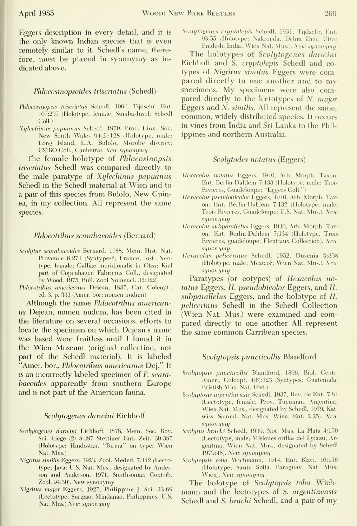Eggers description in every detail, and it is the only known Indian species that is even remotely similar to it. Schedl's name, therefore, must be placed in synonymy as in dicated above.

#### Phloeosinopsoides triseriatus (Schedl)

- Phloeosinopsis triseriatus Schedl, 1964, Tijdschr. Ent. 107:297 (Holotype, female; Sumba-Insel; Schedl Coll.)
- Xillecliintis paptiantis Schedl, 1970, Proc. Linn. Soc. New South Wales 94(2):128 (Holotype, male; Long Island, L.A. Bulolo, Morobe district; CSIRO Coll., Canberra). New synonymy

The female holotype of Phloeosinopsis triseriatus Schedl was compared directly to the male paratype of Xylechinus papuanus Schedl in the Schedl material at Wien and to <sup>a</sup> pair of this species from Bulolo, New Guinea, in my collection. All represent the same species.

#### Phloeotribus scarabaeoides (Bernard)

- Scohjtus scarabaeoides Bernard, 1788, Mem. Hist. Nat. Provence 6:271 (Syntypes?; France; lost. Neotype, female; Galliae meridionalis in Olea; Kiel part of Copenhagen Fabricius Coll., designated by Wood, 1975, Bull. Zool Nomencl. 32:122)
- Phloeotribus americanus Dejean, 1837, Cat. Coleopt., ed. 3, p. 331 (Amer. bor; nomen nudum)

Although the name *Phloeotribus american*us Dejean, nomen nudum, has been cited in the literature on several occasions, efforts to locate the specimen on which Dejean's name was based were fruitless until <sup>I</sup> found it in the Wien Museum (original collection, not part of the Schedl material). It is labeled "Amer. bor., Phloeotribus americanus Dej." It is an incorrectly labeled specimen of P. scara baeoides apparently from southern Europe and is not part of the American fauna.

#### Scolytogenes darwini Eichhoff

- Scolytogenes darwini Eichhoff, 1878, Mem. Soc. Roy. Sci. Liege (2) 8:497 Stettiner Ent. Zeit. 39:387 (Holotype; Hindostan, "Birma" on type; Wien Nat. Mus.)
- Nigritus similis Eggers, 1923, Zool. Meded. 7:142 (Lectotype; Java; U.S. Nat. Mus., designated by Anderson and Anderson, 1971, Smithsonian Contrib. Zool. 94:30). New synonymy
- Nigritus major Eggers, 1927, Philippine J. Sci. 33:69 (Lectotype; Surigao, Mindanao, Philippines; U.S. Nat. Mus.) New synonymy

Scolytogenes cryptolepis Schedl, 1951, Tijdschr, Ent. 93:55 (Holotype; Nakronda, Dehra Dun, Uttar

Pradesh, India; Wien Nat. Mus.). New synonymy

The holotypes of Scolytogenes darwini Eichhoff and S. cryptolepis Schedl and co types of *Nigritus similus* Eggers were compared directly to one another and to my specimens. My specimens were also compared directly to the lectotypes of N. major Eggers and N. similis. All represent the same, common, widely distributed species. It occurs in vines from India and Sri Lanka to the Phil ippines and northern Australia.

#### Scolytodes notatus (Eggers)

- Hexacolus notatus Eggers, 1940, Arb. Morph. Taxon. Ent. Berlin-Dahlem 7:133 (Holotype, male; Trois Rivieres, Guadeloupe; "Eggers Coll.")
- Hexacolus pseudobicolor Eggers, 1940, Arb. Morph. Taxon. Ent. Berlin-Dahlem 7:132 (Holotype, male; Trois Rivieres, Guadeloupe; U.S. Nat. Mus.). New synonymy
- Hexacolus subparallelus Eggers, 1940, Arb. Morph. Taxon. Ent. Berlin-Dahlem 7:134 (Holotype, Trois Rivieres, guadeloupe; Fleutiaux Collection). New synonymy
- Hexacolus pelicerinus Schedl, 1952, Dusenia 3:358 (Holotype, male; Mexico?; Wien Nat. Mus.). New synonymy

Paratypes (or cotypes) of Hexacolus notatus Eggers, H. pseudobicolor Eggers, and H. subparallelus Eggers, and the holotype of H. pelicerinus Schedl in the Schedl Collection (Wien Nat. Mus.) were examined and compared directly to one another All represent the same common Carribean species.

#### Scolutopsis puncticollis Blandford

- Scohjtopsis puncticollis Blandford, 1896, Biol. Centr. Amer., Coleopt. 4(6):123 (Syntypes; Guatemala; Bristish Mus. Nat. Hist.)
- Scolyptosis argentinensis Schedl, 1937, Rev. de Ent. 7:84 (Lectotype, female; Prov. Tucuman. Argentina; Wien Nat. Mus., designated by Schedl, 1979, Kat. wiss. Samml. Nat. Mus. Wien. Ent. 2:25). New synonymy
- Scohjtus bruchi Schedl, 19.39, Not. Mus. La Plata 4:170 (Lectotype, male; Misiones orillas del Ignazu, Argentina; Wien Nat. Mus., designated by Schedl 1979:48). New synonymy
- Scolytopsis toba Wichmann, 1914, Ent. Blätt. 10:136 (Holotype; Santa Sofia, Paraguay; Nat. Mus. Wien). New synonymy

The holotype of Scolytopsis toba Wich mann and the lectotypes of S. argentinensis Schedl and S. bruchi Schedl, and <sup>a</sup> pair of my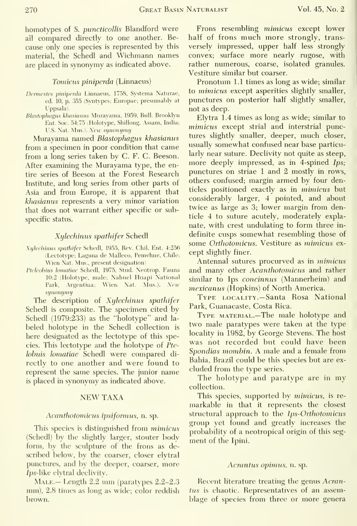homotypes of S. puncticollis Blandford were ail compared directly to one another. Because only one species is represented by this material, the Schedl and Wichmann names are placed in synonymy as indicated above.

#### Tomicus piniperda (Linnaeus)

- Dermestes piniperda Linnaeus, 1758, Systema Naturae, ed. 10, p. 355 (Syntypes; Europae; presumably at Uppsala).
- Blastophagus khasianus Muravama, 1959, Bull. Brooklyn Ent. Soc. 54:75 (Holotype, Shillong, Assam, India; U.S. Nat. Mus.). New synonymy

Murayama named Blastophagus khasianus from a specimen in poor condition that came from a long series taken by C. F. C. Beeson. After examining the Murayama type, the entire series of Beeson at the Forest Research Institute, and long series from other parts of Asia and from Europe, it is apparent that khasianus represents a very minor variation that does not warrant either specific or subspecific status.

#### Xijlechinus spathifer Schedl

- Xylechinus spathifer Schedl, 1955, Rev. Chil. Ent. 4:256 (Lectotype; Laguna de Malleco, Pemehne, Chile; Wien Nat. Mus., present designation)
- Pteleobius lomatiae Schedl, 1975, Stud. Neotrop. Fauna 10:2 (Holotype, male; Nahuel Huapi National Park, Argentina; Wien Nat. Mus.). New synonymy

The description of Xylechinus spathifer Schedl is composite. The specimen cited by Schedl (1979:233) as the "holotype" and la beled holotype in the Schedl collection is here designated as the lectotype of this species. This lectotype and the holotype of Pte lobuis lomatiae Schedl were compared directly to one another and were found to represent the same species. The junior name is placed in synonymy as indicated above.

#### NEW TAXA

#### Acantliotomicus ipsifannus, n. sp.

This species is distinguished from mimicus (Schedl) by the slightly larger, stouter body form, by the sculpture of the frons as described below, by the coarser, closer elytral punctures, and by the deeper, coarser, more /ps-like elytral declivity.

MALE.— Length 2.2 mm (paratypes 2.2–2.3 mm), 2.8 times as long as wide; color reddish brown.

Frons resembling mimicus except lower half of frons much more strongly, trans versely impressed, upper half less strongly convex; surface more nearly rugose, with rather numerous, coarse, isolated granules. Vestiture similar but coarser.

Pronotum LI times as long as wide; similar to mimicus except asperities slightly smaller, punctures on posterior half slightly smaller, not as deep.

Elytra L4 times as long as wide; similar to mimicus except strial and interstrial punctures slightly smaller, deeper, much closer, usually somewhat confused near base particularly near suture. Declivity not quite as steep, more deeply impressed, as in 4-spined Ips; punctures on striae <sup>1</sup> and 2 mostly in rows, others confused; margin armed by four denticles positioned exactly as in mimicus but considerably larger, 4 pointed, and about twice as large as 3; lower margin from denticle 4 to suture acutely, moderately explanate, with crest undulating to form three in definite cusps somewhat resembling those of some Orthotomicus. Vestiture as mimicus ex cept slightly finer.

Antennal sutures procurved as in mimicus and many other Acanthotomicus and rather similar to Ips concinnus (Mannerheim) and mexicanus (Hopkins) of North America.

Type locality.— Santa Rosa National Park, Guanacaste, Costa Rica.

Type material.—The male holotype and two male paratypes were taken at the type locality in 1982, by George Stevens. The host was not recorded but could have been Spondias mombin. A male and a female from Bahia, Brazil could be this species but are ex cluded from the type series.

The holotype and paratype are in my collection.

This species, supported by *mimicus*, is remarkable in that it represents the closest structural approach to the Ips-Orthotomicus group yet found and greatly increases the probability of a neotropical origin of this seg ment of the Ipini.

#### Acrantus opimus, n. sp.

Recent literature treating the genus Acrantus is chaotic. Representatives of an assemblage of species from three or more genera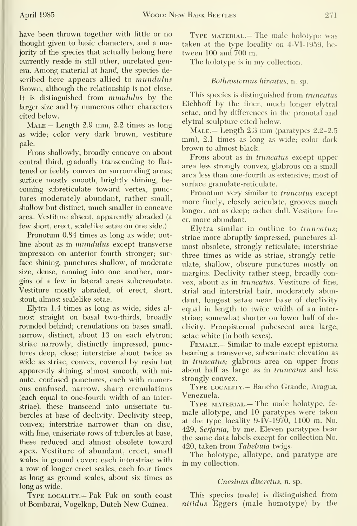have been thrown together with little or no thought given to basic characters, and a majority of the species that actually belong here currently reside in still other, unrelated genera. Among material at hand, the species de scribed here appears allied to mundulus Brown, although the relationship is not close. It is distinguished from mundulus by the larger size and by numerous other characters cited below.

Male.— Length 2.9 mm, 2.2 times as long as wide; color very dark brown, vestiture pale.

Frons shallowly, broadly concave on about central third, gradually transcending to flat tened or feebly convex on surrounding areas; surface mostly smooth, brightly shining, be coming subreticulate toward vertex, punctures moderately abundant, rather small, shallow but distinct, much smaller in concave area. Vestiture absent, apparently abraded (a few short, erect, scalelike setae on one side.)

Pronotum 0.84 times as long as wide; outline about as in mundulus except transverse impression on anterior fourth stronger; sur face shining, punctures shallow, of moderate size, dense, running into one another, margins of a few in lateral areas subcrenulate. Vestiture mostly abraded, of erect, short, stout, almost scalelike setae.

Elytra 1.4 times as long as wide; sides al most straight on basal two-thirds, broadly rounded behind; crenulations on bases small, narrow, distinct, about 13 on each elytron; striae narrowly, distinctly impressed, punctures deep, close; interstriae about twice as wide as striae, convex, covered by resin but apparently shining, almost smooth, with minute, confused punctures, each with numerous confused, narrow, sharp crenulations (each equal to one-fourth width of an interstriae), these transcend into uniseriate tu bercles at base of declivity. Declivity steep, convex; interstriae narrower than on disc, with fine, uniseriate rows of tubercles at base, these reduced and almost obsolete toward apex. Vestiture of abundant, erect, small scales in ground cover; each interstriae with a row of longer erect scales, each four times as long as ground scales, about six times as long as wide.

Type locality.— Pak Pak on south coast of Bombarai, Vogelkop, Dutch New Guinea.

TYPE MATERIAL.— The male holotype was taken at the type locality on 4-VI-1959, be tween 100 and 700 m.

The holotype is in my collection.

#### Bothrosternus hirsutus, n. sp.

This species is distinguished from *truncatus* Eichhoff by the finer, much longer elytral setae, and by differences in the pronotal and elytral sculpture cited below.

MALE.— Length 2.3 mm (paratypes 2.2-2.5) mm), 2.1 times as long as wide; color dark brown to almost black.

Frons about as in truncatus except upper area less strongly convex, glabrous on a small area less than one-fourth as extensive; most of surface granulate-reticulate.

Pronotum very similar to *truncatus* except more finely, closely aciculate, grooves much longer, not as deep; rather dull. Vestiture finer, more abundant.

Elytra similar in outline to truncatus; striae more abruptly impressed, punctures al most obsolete, strongly reticulate; interstriae three times as wide as striae, strongly retic ulate, shallow, obscure punctures mostly on margins. Declivity rather steep, broadly convex, about as in truncatus. Vestiture of fine, strial and interstrial hair, moderately abundant, longest setae near base of declivity equal in length to twice width of an interstriae; somewhat shorter on lower half of declivity. Proepisternal pubescent area large, setae white (in both sexes).

Female.— Similar to male except epistoma bearing a transverse, subcarinate elevation as in truncatus; glabrous area on upper frons about half as large as in truncatus and less strongly convex.

Type locality.— Rancho Grande, Aragua, Venezuela.

Type material.— The male holotype, fe male allotype, and 10 paratypes were taken at the type locality 9-IV-1970, 1100 m. No. 429, Serjania, by me. Eleven paratypes bear the same data labels except for collection No. 420, taken from Tabebuia twigs.

The holotype, allotype, and paratype are in my collection.

#### Cnesinus discretus, n. sp.

This species (male) is distinguished from nitidus Eggers (male homotype) by the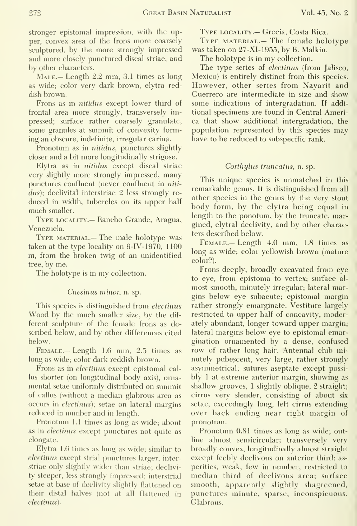stronger epistomal impression, with the upper, convex area of the frons more coarsely sculptured, by the more strongly impressed and more closely punctured discal striae, and by other characters.

Male.— Length 2.2 mm, 3.1 times as long as wide; color very dark brown, elytra reddish brown.

Frons as in nitidus except lower third of frontal area more strongly, transversely impressed; surface rather coarsely granulate, some granules at summit of convexity forming an obscure, indefinite, irregular carina.

Pronotum as in nitidus, punctures slightly closer and a bit more longitudinally strigose.

Elytra as in nitidus except discal striae very slightly more strongly impressed, many punctures confluent (never confluent in *niti*dus); declivital interstriae 2 less strongly re duced in width, tubercles on its upper half much smaller.

Type locality.— Rancho Grande, Aragua, Venezuela.

TYPE MATERIAL.— The male holotype was taken at the type locality on 9-1V- 1970, 1100 m, from the broken twig of an unidentified tree, by me.

The holotype is in my collection.

#### Cnesinus minor, n. sp.

This species is distinguished from *electinus* Wood by the much smaller size, by the dif ferent sculpture of the female frons as described below, and by other differences cited below.

Female.— Length 1.6 mm, 2.5 times as long as wide; color dark reddish brown.

Frons as in *electinus* except epistomal callus shorter (on longitudinal body axis), ornamental setae uniformly distributed on summit of callus (without a median glabrous area as occurs in electinus); setae on lateral margins reduced in number and in length.

Pronotum 1.1 times as long as wide; about as in electinus except punctures not quite as elongate.

Elytra 1.6 times as long as wide; similar to electinus except strial punctures larger, inter striae only slightly wider than striae; declivity steeper, less strongly impressed; interstrial setae at base of declivity slightly flattened on their distal halves (not at all flattened in electinus).

Type locality.— Grecia, Costa Rica.

Type material.— The female holotype was taken on 27-XI-1955, by B. Malkin.

The holotype is in my collection.

The type series of electinus (from Jalisco, Mexico) is entirely distinct from this species. However, other series from Nayarit and Guerrero are intermediate in size and show some indications of intergradation. If additional specimens are found in Central America that show additional intergradation, the population represented by this species may have to be reduced to subspecific rank.

#### Corthylus truncatus, n. sp.

This unique species is unmatched in this remarkable genus. It is distinguished from all other species in the genus by the very stout body form, by the elytra being equal in length to the ponotum, by the truncate, margined, elytral declivity, and by other characters described below.

Female.— Length 4.0 mm, 1.8 times as long as wide; color yellowish brown (mature color?).

Frons deeply, broadly excavated from eye to eye, from epistoma to vertex; surface al most smooth, minutely irregular; lateral margins below eye subacute; epistomal margin rather strongly emarginate. Vestiture largely restricted to upper half of concavity, moderately abundant, longer toward upper margin; lateral margins below eye to epistomal emargination ornamented by a dense, confused row of rather long hair. Antennal club minutely pubescent, very large, rather strongly asymmetrical; sutures aseptate except possibly <sup>1</sup>at extreme anterior margin, showing as shallow grooves, <sup>1</sup> slightly oblique, 2 straight; cirrus very slender, consisting of about six setae, exceedingly long, left cirrus extending over back ending near right margin of pronotum.

Pronotum 0.81 times as long as wide; outline almost semicircular; transversely very broadly convex, longitudinally almost straight except feebly declivous on anterior third; as perities, weak, few in number, restricted to median third of declivous area; surface smooth, apparently slightly shagreened, punctures minute, sparse, inconspicuous. Glabrous.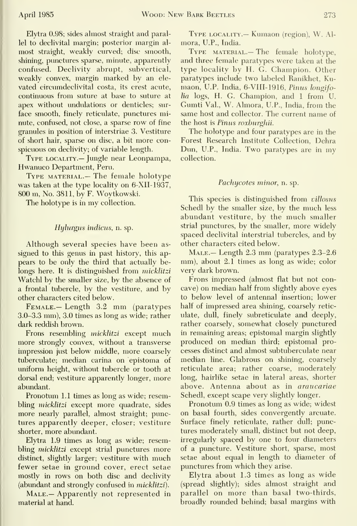Elytra 0.98; sides almost straight and parallel to declivital margin; posterior margin al most straight, weakly curved; disc smooth, shining, punctures sparse, minute, apparently confused. Declivity abrupt, subvertical, weakly convex, margin marked by an ele vated circumdeclivital costa, its crest acute, continuous from suture at base to suture at apex without undulations or denticles; surface smooth, finely reticulate, punctures minute, confused, not close, a sparse row of fine granules in position of interstriae 3. Vestiture of short hair, sparse on disc, a bit more conspicuous on declivity; of variable length.

Type locality.— Jungle near Leonpampa, Hwanuco Department, Peru.

Type material.— The female holotype was taken at the type locality on 6-XII-1937, 800 m. No. 3811, by F. Woytkowski.

The holotype is in my collection.

#### Hylurgus indicus, n. sp.

Although several species have been as signed to this genus in past history, this appears to be only the third that actually belongs here. It is distinguished from micklitzi Watchl by the smaller size, by the absence of a frontal tubercle, by the vestiture, and by other characters cited below.

Female.— Length 3.2 mm (paratypes 3.0-3.3 mm), 3.0 times as long as wide; rather dark reddish brown.

Frons resembling micklitzi except much more strongly convex, without a transverse impression just below middle, more coarsely tuberculate; median carina on epistoma of uniform height, without tubercle or tooth at dorsal end; vestiture apparently longer, more abimdant.

Pronotum 1.1 times as long as wide; resembling *micklitzi* except more quadrate, sides more nearly parallel, almost straight; punctures apparently deeper, closer; vestiture shorter, more abundant.

Elytra 1.9 times as long as wide; resembling *micklitzi* except strial punctures more distinct, slightly larger; vestiture with much fewer setae in ground cover, erect setae mostly in rows on both disc and declivity (abundant and strongly confused in micklitzi).

MALE. - Apparently not represented in material at hand.

Type locality.— Kumaon (region), W. Al mora, U.P., India.

Type material.— The female holotype, and three female paratypes were taken at the type locality by H. G. Champion. Other paratypes include two labeled Ranikhet, Ku maon, U.P. India, 6-VIII-1916, Pinus longifo $lia$  logs, H. G. Champion, and 1 from U. Gumti Val., W. Almora, U.P., India, from the same host and collector. The current name of the host is Pinus roxburghii.

The holotype and four paratypes are in the Forest Research Institute Collection, Dehra Dun, U.P., India. Two paratypes are in my collection.

#### Pachycotes minor, n. sp.

This species is distinguished from *villosus* Schedl by the smaller size, by the much less abundant vestiture, by the much smaller strial punctures, by the smaller, more widely spaced declivital interstrial tubercles, and by other characters cited below.

MALE. - Length 2.3 mm (paratypes 2.3-2.6) mm), about 2.1 times as long as wide; color very dark brown.

Frons impressed (almost flat but not concave) on median half from slightly above eyes to below level of antennal insertion; lower half of impressed area shining, coarsely retic ulate, dull, finely subreticulate and deeply, rather coarsely, somewhat closely punctured in remaining areas; epistomal margin slightly produced on median third; epistomal processes distinct and almost subtuberculate near median line. Glabrous on shining, coarsely reticulate area; rather coarse, moderately long, hairlike setae in lateral areas, shorter above. Antenna about as in araucariae Schedl, except scape very slightly longer.

Pronotum 0.9 times as long as wide; widest on basal fourth, sides convergently arcuate. Surface finely reticulate, rather dull; punctures moderately small, distinct but not deep, irregularly spaced by one to four diameters of a puncture. Vestiture short, sparse, most setae about equal in length to diameter of punctures from which they arise.

Elytra about 1.3 times as long as wide (spread slightly); sides almost straight and parallel on more than basal two-thirds, broadly rounded behind; basal margins with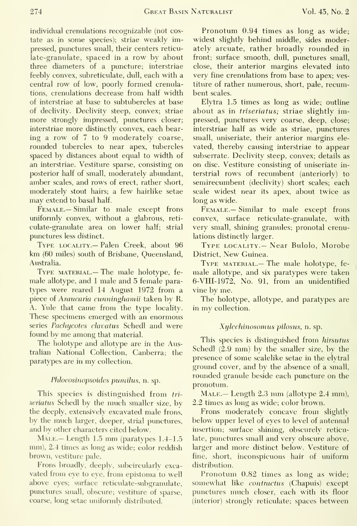individual crenulations recognizable (not costate as in some species); striae weakly impressed, punctures small, their centers reticu late-granulate, spaced in a row by about three diameters of a puncture; interstriae feebly convex, subreticulate, dull, each with a central row of low, poorly formed crenulations, crenulations decrease from half width of interstriae at base to subtubercles at base of declivity. Declivity steep, convex; striae more strongly impressed, punctures closer; interstriae more distinctly convex, each bear ing a row of 7 to 9 moderately coarse, rounded tubercles to near apex, tubercles spaced by distances about equal to width of an interstriae. Vestiture sparse, consisting on posterior half of small, moderately abundant, amber scales, and rows of erect, rather short, moderately stout hairs; a few hairlike setae may extend to basal half.

Female.— Similar to male except frons uniformly convex, without a glabrous, reti culate-granulate area on lower half; strial pimctures less distinct.

Type locality.— Palen Creek, about 96 km (60 miles) south of Brisbane, Queensland, Australia.

Type material.— The male holotype, fe male allotype, and <sup>1</sup> male and 5 female paratypes were reared 14 August 1972 from a piece of Araucaria cunninghamii taken by R. A. Yule that came from the type locality. These specimens emerged with an enormous series Pachycotes clavatus Schedl and were found by me among that material.

The holotype and allotype are in the Australian National Collection, Canberra; the paratypes are in my collection.

#### Phloeosinopsoides pumilus, n. sp.

This species is distinguished from tri seriatus Schedl by the much smaller size, by the deeply, extensively excavated male frons, by the much larger, deeper, strial punctures, and by other characters cited below.

Male.— Length 1.5 mm (paratypes 1.4-1.5 mm), 2.4 times as long as wide; color reddish brown, vestiture pale.

Frons broadly, deeply, subcircularly exca vated from eye to eye, from epistoma to well above eyes; surface reticulate-subgranulate, punctures small, obscure; vestiture of sparse, coarse, long setae uniformly distributed.

Pronotum 0.94 times as long as wide; widest slightly behind middle, sides moderately arcuate, rather broadly rounded in front; surface smooth, dull, punctures small, close, their anterior margins elevated into very fine crenulations from base to apex; vestiture of rather numerous, short, pale, recumbent scales.

Elytra 1.5 times as long as wide; outline about as in triseriatus; striae slightly impressed, punctures very coarse, deep, close; interstriae half as wide as striae, punctures small, uniseriate, their anterior margins ele vated, thereby causing interstriae to appear subserrate. Declivity steep, convex; details as on disc. Vestiture consisting of uniseriate in terstrial rows of recumbent (anteriorly) to semirecumbent (declivity) short scales; each scale widest near its apex, about twice as long as wide.

Female.— Similar to male except frons convex, surface reticulate-granulate, with very small, shining granules; pronotal crenulations distinctly larger.

Type locality.— Near Bulolo, Morobe District, New Guinea.

Type material.— The male holotype, fe male allotype, and six paratypes were taken 6-VII1-1972, No. 91, from an unidentified vine by me.

The holotype, allotype, and paratypes are in my collection.

#### Xylechinosomus pilosus, n. sp.

This species is distinguished from hirsutus Schedl (2.9 mm) by the smaller size, by the presence of some scalelike setae in the elytral ground cover, and by the absence of a small, rounded granule beside each puncture on the pronotum.

 $M<sub>ALE</sub>$ — Length 2.3 mm (allotype 2.4 mm), 2.2 times as long as wide; color brown.

Frons moderately concave from slightly below upper level of eyes to level of antennal insertion; surface shining, obscurely reticulate, punctures small and very obscure above, larger and more distinct below. Vestiture of fine, short, inconspicuous hair of uniform distribution.

Pronotum 0.82 times as long as wide; somewhat like contractus (Chapuis) except punctures much closer, each with its floor (interior) strongly reticulate; spaces between